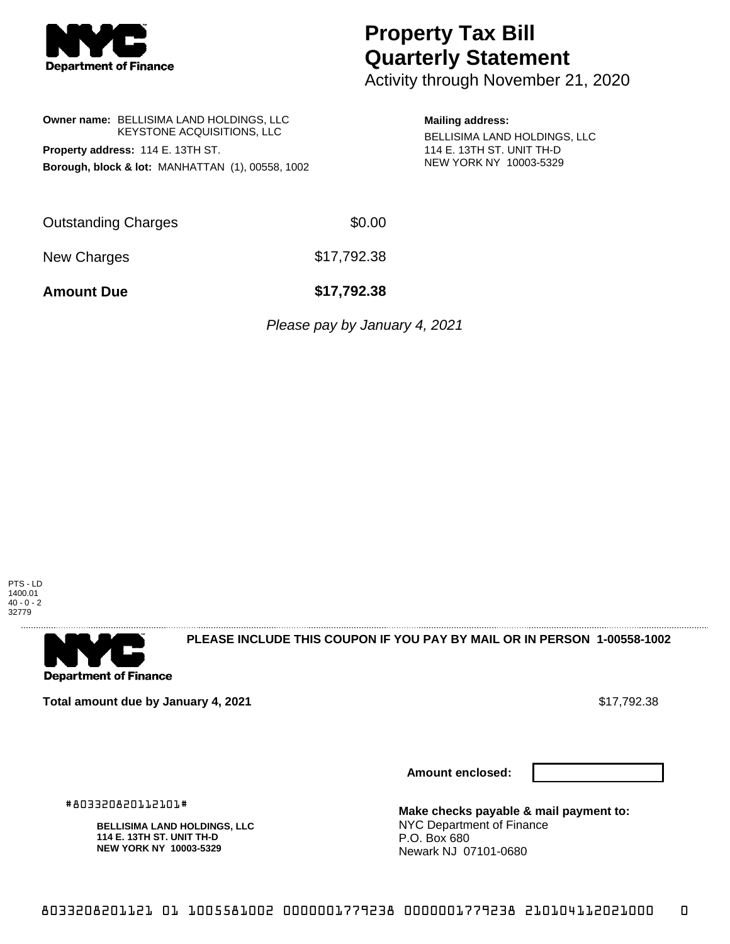

# **Property Tax Bill Quarterly Statement**

Activity through November 21, 2020

## **Owner name:** BELLISIMA LAND HOLDINGS, LLC KEYSTONE ACQUISITIONS, LLC **Property address:** 114 E. 13TH ST. **Borough, block & lot:** MANHATTAN (1), 00558, 1002

#### **Mailing address:**

BELLISIMA LAND HOLDINGS, LLC 114 E. 13TH ST. UNIT TH-D NEW YORK NY 10003-5329

| <b>Outstanding Charges</b> | \$0.00      |
|----------------------------|-------------|
| New Charges                | \$17,792.38 |

**Amount Due \$17,792.38**

Please pay by January 4, 2021





**PLEASE INCLUDE THIS COUPON IF YOU PAY BY MAIL OR IN PERSON 1-00558-1002** 

**Total amount due by January 4, 2021**  $\bullet$  **17,792.38**  $\bullet$  **\$17,792.38** 

**Amount enclosed:**



#803320820112101#

**BELLISIMA LAND HOLDINGS, LLC 114 E. 13TH ST. UNIT TH-D NEW YORK NY 10003-5329**

**Make checks payable & mail payment to:** NYC Department of Finance P.O. Box 680 Newark NJ 07101-0680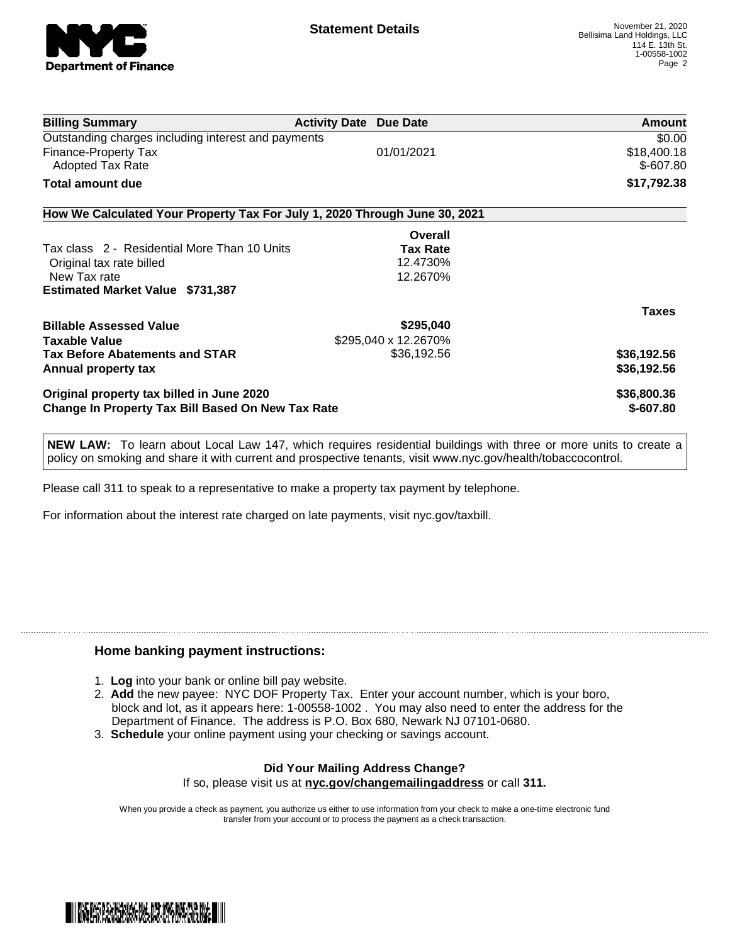

| <b>Billing Summary</b>                                                     | <b>Activity Date Due Date</b> | Amount       |
|----------------------------------------------------------------------------|-------------------------------|--------------|
| Outstanding charges including interest and payments                        |                               | \$0.00       |
| Finance-Property Tax                                                       | 01/01/2021                    | \$18,400.18  |
| <b>Adopted Tax Rate</b>                                                    |                               | $$-607.80$   |
| Total amount due                                                           |                               | \$17,792.38  |
| How We Calculated Your Property Tax For July 1, 2020 Through June 30, 2021 |                               |              |
|                                                                            | Overall                       |              |
| Tax class 2 - Residential More Than 10 Units                               | <b>Tax Rate</b>               |              |
| Original tax rate billed                                                   | 12.4730%                      |              |
| New Tax rate                                                               | 12.2670%                      |              |
| <b>Estimated Market Value \$731,387</b>                                    |                               |              |
|                                                                            |                               | <b>Taxes</b> |
| <b>Billable Assessed Value</b>                                             | \$295,040                     |              |
| <b>Taxable Value</b>                                                       | \$295,040 x 12.2670%          |              |
| <b>Tax Before Abatements and STAR</b>                                      | \$36,192.56                   | \$36,192.56  |
| Annual property tax                                                        |                               | \$36,192.56  |
| Original property tax billed in June 2020                                  |                               | \$36,800.36  |
| <b>Change In Property Tax Bill Based On New Tax Rate</b>                   |                               | $$-607.80$   |

**NEW LAW:** To learn about Local Law 147, which requires residential buildings with three or more units to create a policy on smoking and share it with current and prospective tenants, visit www.nyc.gov/health/tobaccocontrol.

Please call 311 to speak to a representative to make a property tax payment by telephone.

For information about the interest rate charged on late payments, visit nyc.gov/taxbill.

### **Home banking payment instructions:**

- 1. **Log** into your bank or online bill pay website.
- 2. **Add** the new payee: NYC DOF Property Tax. Enter your account number, which is your boro, block and lot, as it appears here: 1-00558-1002 . You may also need to enter the address for the Department of Finance. The address is P.O. Box 680, Newark NJ 07101-0680.
- 3. **Schedule** your online payment using your checking or savings account.

#### **Did Your Mailing Address Change?** If so, please visit us at **nyc.gov/changemailingaddress** or call **311.**

When you provide a check as payment, you authorize us either to use information from your check to make a one-time electronic fund transfer from your account or to process the payment as a check transaction.